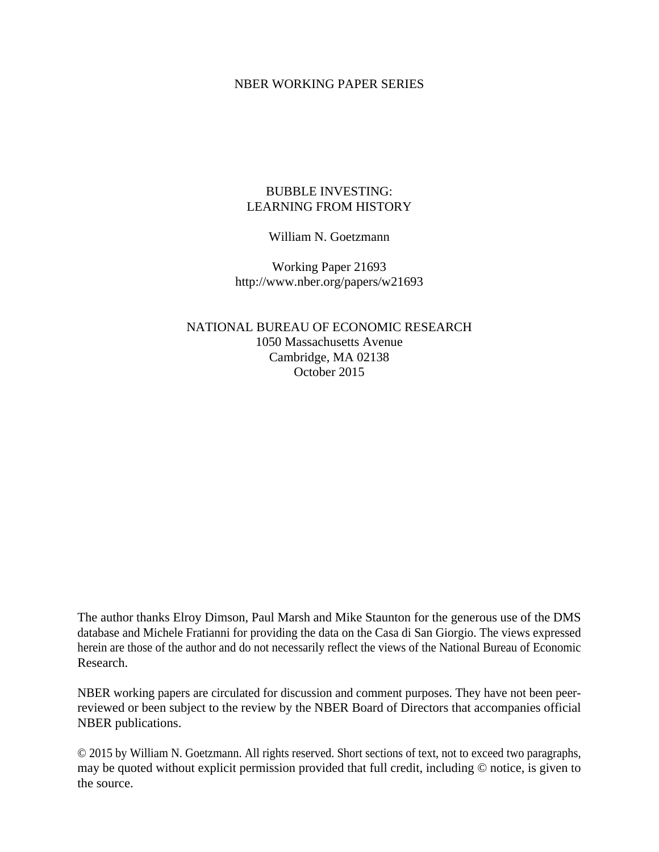## NBER WORKING PAPER SERIES

# BUBBLE INVESTING: LEARNING FROM HISTORY

# William N. Goetzmann

Working Paper 21693 http://www.nber.org/papers/w21693

NATIONAL BUREAU OF ECONOMIC RESEARCH 1050 Massachusetts Avenue Cambridge, MA 02138 October 2015

The author thanks Elroy Dimson, Paul Marsh and Mike Staunton for the generous use of the DMS database and Michele Fratianni for providing the data on the Casa di San Giorgio. The views expressed herein are those of the author and do not necessarily reflect the views of the National Bureau of Economic Research.

NBER working papers are circulated for discussion and comment purposes. They have not been peerreviewed or been subject to the review by the NBER Board of Directors that accompanies official NBER publications.

© 2015 by William N. Goetzmann. All rights reserved. Short sections of text, not to exceed two paragraphs, may be quoted without explicit permission provided that full credit, including © notice, is given to the source.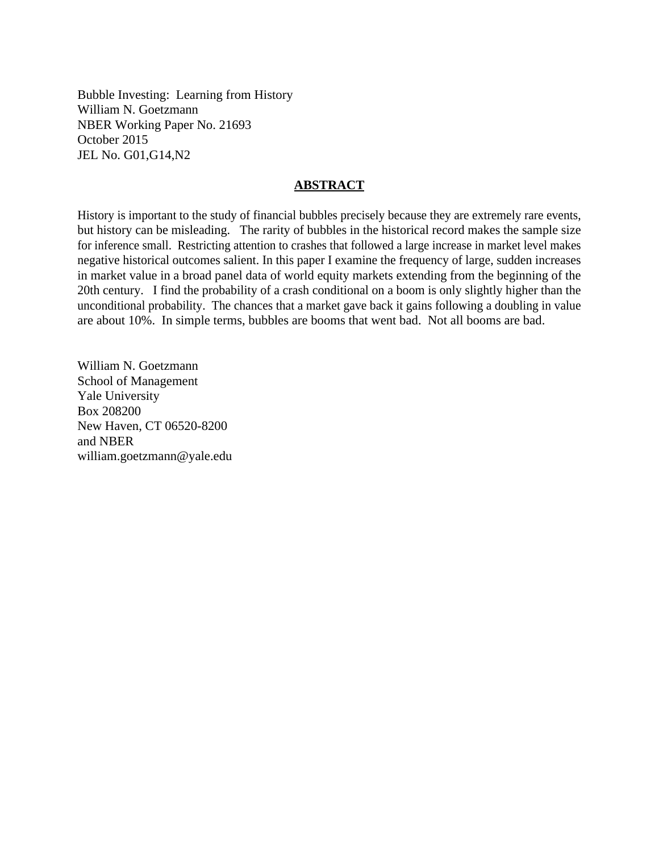Bubble Investing: Learning from History William N. Goetzmann NBER Working Paper No. 21693 October 2015 JEL No. G01,G14,N2

## **ABSTRACT**

History is important to the study of financial bubbles precisely because they are extremely rare events, but history can be misleading. The rarity of bubbles in the historical record makes the sample size for inference small. Restricting attention to crashes that followed a large increase in market level makes negative historical outcomes salient. In this paper I examine the frequency of large, sudden increases in market value in a broad panel data of world equity markets extending from the beginning of the 20th century. I find the probability of a crash conditional on a boom is only slightly higher than the unconditional probability. The chances that a market gave back it gains following a doubling in value are about 10%. In simple terms, bubbles are booms that went bad. Not all booms are bad.

William N. Goetzmann School of Management Yale University Box 208200 New Haven, CT 06520-8200 and NBER william.goetzmann@yale.edu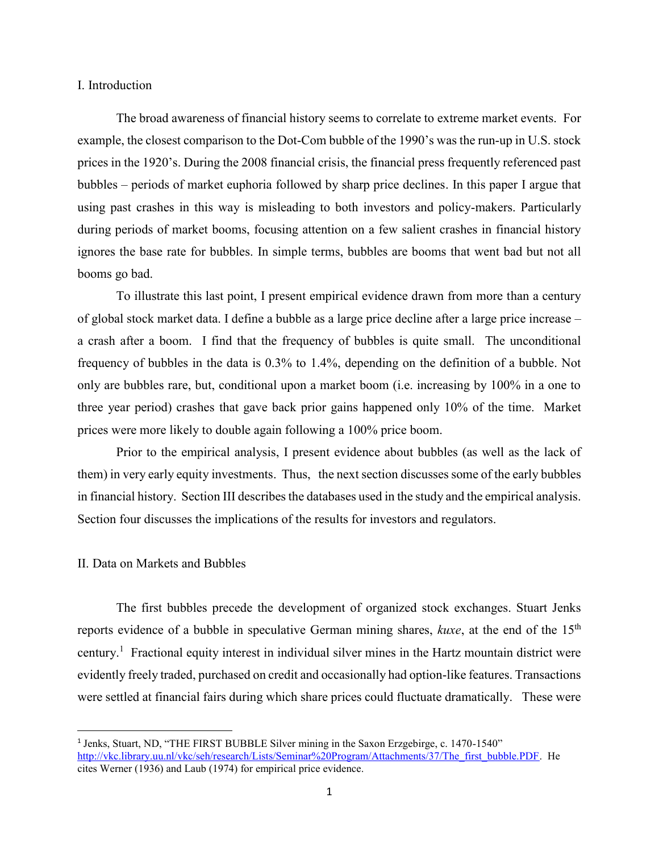### I. Introduction

The broad awareness of financial history seems to correlate to extreme market events. For example, the closest comparison to the Dot-Com bubble of the 1990's was the run-up in U.S. stock prices in the 1920's. During the 2008 financial crisis, the financial press frequently referenced past bubbles – periods of market euphoria followed by sharp price declines. In this paper I argue that using past crashes in this way is misleading to both investors and policy-makers. Particularly during periods of market booms, focusing attention on a few salient crashes in financial history ignores the base rate for bubbles. In simple terms, bubbles are booms that went bad but not all booms go bad.

To illustrate this last point, I present empirical evidence drawn from more than a century of global stock market data. I define a bubble as a large price decline after a large price increase – a crash after a boom. I find that the frequency of bubbles is quite small. The unconditional frequency of bubbles in the data is 0.3% to 1.4%, depending on the definition of a bubble. Not only are bubbles rare, but, conditional upon a market boom (i.e. increasing by 100% in a one to three year period) crashes that gave back prior gains happened only 10% of the time. Market prices were more likely to double again following a 100% price boom.

Prior to the empirical analysis, I present evidence about bubbles (as well as the lack of them) in very early equity investments. Thus, the next section discusses some of the early bubbles in financial history. Section III describes the databases used in the study and the empirical analysis. Section four discusses the implications of the results for investors and regulators.

#### II. Data on Markets and Bubbles

 $\overline{\phantom{a}}$ 

The first bubbles precede the development of organized stock exchanges. Stuart Jenks reports evidence of a bubble in speculative German mining shares, *kuxe*, at the end of the 15th century.<sup>1</sup> Fractional equity interest in individual silver mines in the Hartz mountain district were evidently freely traded, purchased on credit and occasionally had option-like features. Transactions were settled at financial fairs during which share prices could fluctuate dramatically. These were

<sup>1</sup> Jenks, Stuart, ND, "THE FIRST BUBBLE Silver mining in the Saxon Erzgebirge, c. 1470-1540" [http://vkc.library.uu.nl/vkc/seh/research/Lists/Seminar%20Program/Attachments/37/The\\_first\\_bubble.PDF.](http://vkc.library.uu.nl/vkc/seh/research/Lists/Seminar%20Program/Attachments/37/The_first_bubble.PDF) He cites Werner (1936) and Laub (1974) for empirical price evidence.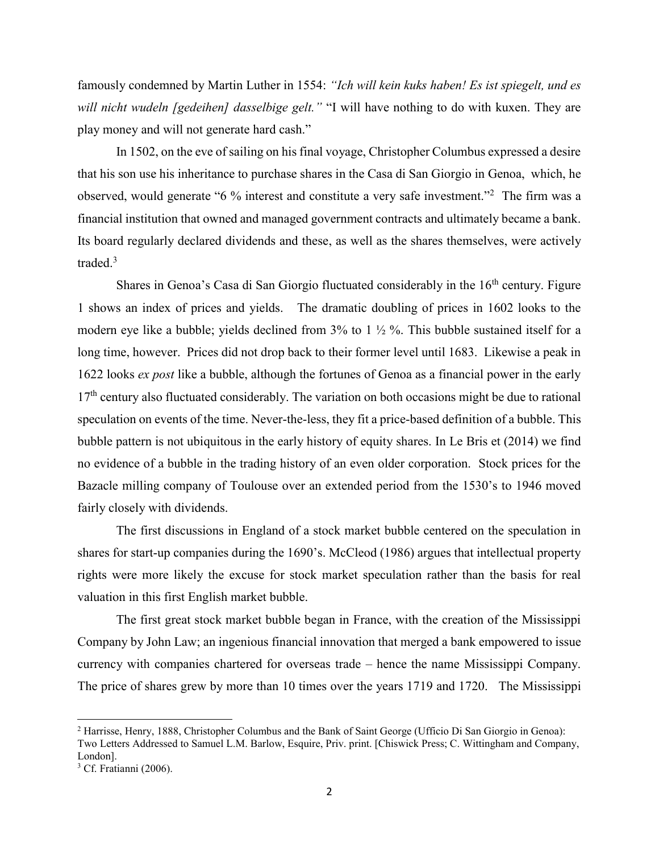famously condemned by Martin Luther in 1554: *"Ich will kein kuks haben! Es ist spiegelt, und es will nicht wudeln [gedeihen] dasselbige gelt."* "I will have nothing to do with kuxen. They are play money and will not generate hard cash."

In 1502, on the eve of sailing on his final voyage, Christopher Columbus expressed a desire that his son use his inheritance to purchase shares in the Casa di San Giorgio in Genoa, which, he observed, would generate "6 % interest and constitute a very safe investment."<sup>2</sup> The firm was a financial institution that owned and managed government contracts and ultimately became a bank. Its board regularly declared dividends and these, as well as the shares themselves, were actively traded.<sup>3</sup>

Shares in Genoa's Casa di San Giorgio fluctuated considerably in the  $16<sup>th</sup>$  century. Figure 1 shows an index of prices and yields. The dramatic doubling of prices in 1602 looks to the modern eye like a bubble; yields declined from  $3\%$  to 1  $\frac{1}{2}\%$ . This bubble sustained itself for a long time, however. Prices did not drop back to their former level until 1683. Likewise a peak in 1622 looks *ex post* like a bubble, although the fortunes of Genoa as a financial power in the early  $17<sup>th</sup>$  century also fluctuated considerably. The variation on both occasions might be due to rational speculation on events of the time. Never-the-less, they fit a price-based definition of a bubble. This bubble pattern is not ubiquitous in the early history of equity shares. In Le Bris et (2014) we find no evidence of a bubble in the trading history of an even older corporation. Stock prices for the Bazacle milling company of Toulouse over an extended period from the 1530's to 1946 moved fairly closely with dividends.

 The first discussions in England of a stock market bubble centered on the speculation in shares for start-up companies during the 1690's. McCleod (1986) argues that intellectual property rights were more likely the excuse for stock market speculation rather than the basis for real valuation in this first English market bubble.

 The first great stock market bubble began in France, with the creation of the Mississippi Company by John Law; an ingenious financial innovation that merged a bank empowered to issue currency with companies chartered for overseas trade – hence the name Mississippi Company. The price of shares grew by more than 10 times over the years 1719 and 1720. The Mississippi

 $\overline{\phantom{a}}$ 

<sup>&</sup>lt;sup>2</sup> Harrisse, Henry, 1888, Christopher Columbus and the Bank of Saint George (Ufficio Di San Giorgio in Genoa):

Two Letters Addressed to Samuel L.M. Barlow, Esquire, Priv. print. [Chiswick Press; C. Wittingham and Company, London].

<sup>&</sup>lt;sup>3</sup> Cf. Fratianni (2006).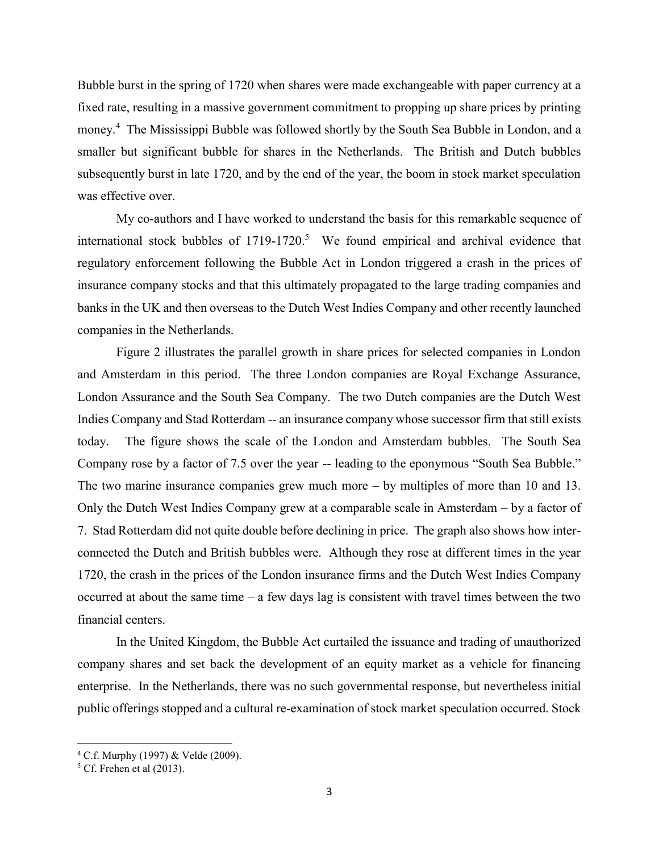Bubble burst in the spring of 1720 when shares were made exchangeable with paper currency at a fixed rate, resulting in a massive government commitment to propping up share prices by printing money.<sup>4</sup> The Mississippi Bubble was followed shortly by the South Sea Bubble in London, and a smaller but significant bubble for shares in the Netherlands. The British and Dutch bubbles subsequently burst in late 1720, and by the end of the year, the boom in stock market speculation was effective over.

My co-authors and I have worked to understand the basis for this remarkable sequence of international stock bubbles of  $1719-1720$ .<sup>5</sup> We found empirical and archival evidence that regulatory enforcement following the Bubble Act in London triggered a crash in the prices of insurance company stocks and that this ultimately propagated to the large trading companies and banks in the UK and then overseas to the Dutch West Indies Company and other recently launched companies in the Netherlands.

Figure 2 illustrates the parallel growth in share prices for selected companies in London and Amsterdam in this period. The three London companies are Royal Exchange Assurance, London Assurance and the South Sea Company. The two Dutch companies are the Dutch West Indies Company and Stad Rotterdam -- an insurance company whose successor firm that still exists today. The figure shows the scale of the London and Amsterdam bubbles. The South Sea Company rose by a factor of 7.5 over the year -- leading to the eponymous "South Sea Bubble." The two marine insurance companies grew much more – by multiples of more than 10 and 13. Only the Dutch West Indies Company grew at a comparable scale in Amsterdam – by a factor of 7. Stad Rotterdam did not quite double before declining in price. The graph also shows how interconnected the Dutch and British bubbles were. Although they rose at different times in the year 1720, the crash in the prices of the London insurance firms and the Dutch West Indies Company occurred at about the same time – a few days lag is consistent with travel times between the two financial centers.

In the United Kingdom, the Bubble Act curtailed the issuance and trading of unauthorized company shares and set back the development of an equity market as a vehicle for financing enterprise. In the Netherlands, there was no such governmental response, but nevertheless initial public offerings stopped and a cultural re-examination of stock market speculation occurred. Stock

l

<sup>4</sup> C.f. Murphy (1997) & Velde (2009).

 $<sup>5</sup>$  Cf. Frehen et al (2013).</sup>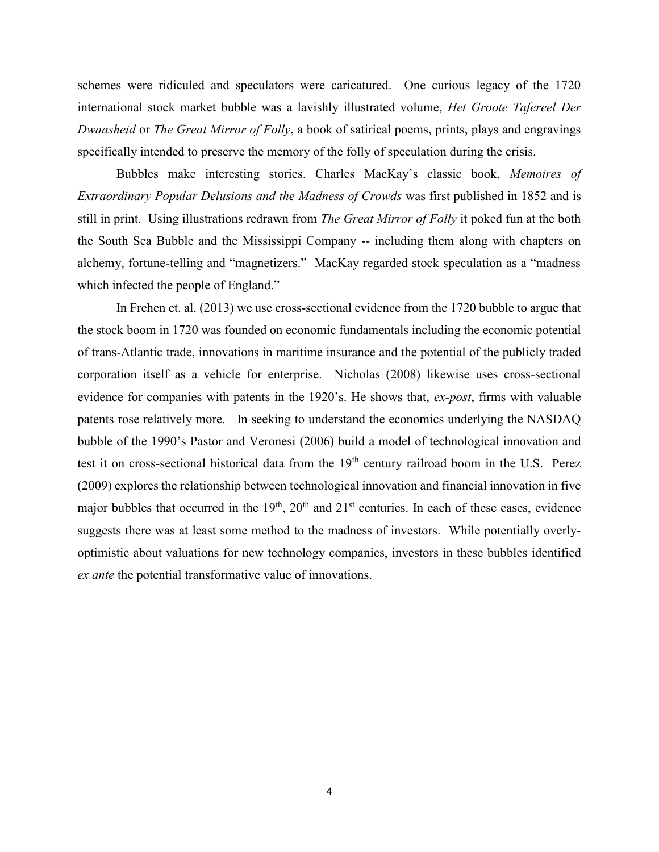schemes were ridiculed and speculators were caricatured. One curious legacy of the 1720 international stock market bubble was a lavishly illustrated volume, *Het Groote Tafereel Der Dwaasheid* or *The Great Mirror of Folly*, a book of satirical poems, prints, plays and engravings specifically intended to preserve the memory of the folly of speculation during the crisis.

Bubbles make interesting stories. Charles MacKay's classic book, *Memoires of Extraordinary Popular Delusions and the Madness of Crowds* was first published in 1852 and is still in print. Using illustrations redrawn from *The Great Mirror of Folly* it poked fun at the both the South Sea Bubble and the Mississippi Company -- including them along with chapters on alchemy, fortune-telling and "magnetizers." MacKay regarded stock speculation as a "madness which infected the people of England."

In Frehen et. al. (2013) we use cross-sectional evidence from the 1720 bubble to argue that the stock boom in 1720 was founded on economic fundamentals including the economic potential of trans-Atlantic trade, innovations in maritime insurance and the potential of the publicly traded corporation itself as a vehicle for enterprise. Nicholas (2008) likewise uses cross-sectional evidence for companies with patents in the 1920's. He shows that, *ex-post*, firms with valuable patents rose relatively more. In seeking to understand the economics underlying the NASDAQ bubble of the 1990's Pastor and Veronesi (2006) build a model of technological innovation and test it on cross-sectional historical data from the 19<sup>th</sup> century railroad boom in the U.S. Perez (2009) explores the relationship between technological innovation and financial innovation in five major bubbles that occurred in the  $19<sup>th</sup>$ ,  $20<sup>th</sup>$  and  $21<sup>st</sup>$  centuries. In each of these cases, evidence suggests there was at least some method to the madness of investors. While potentially overlyoptimistic about valuations for new technology companies, investors in these bubbles identified *ex ante* the potential transformative value of innovations.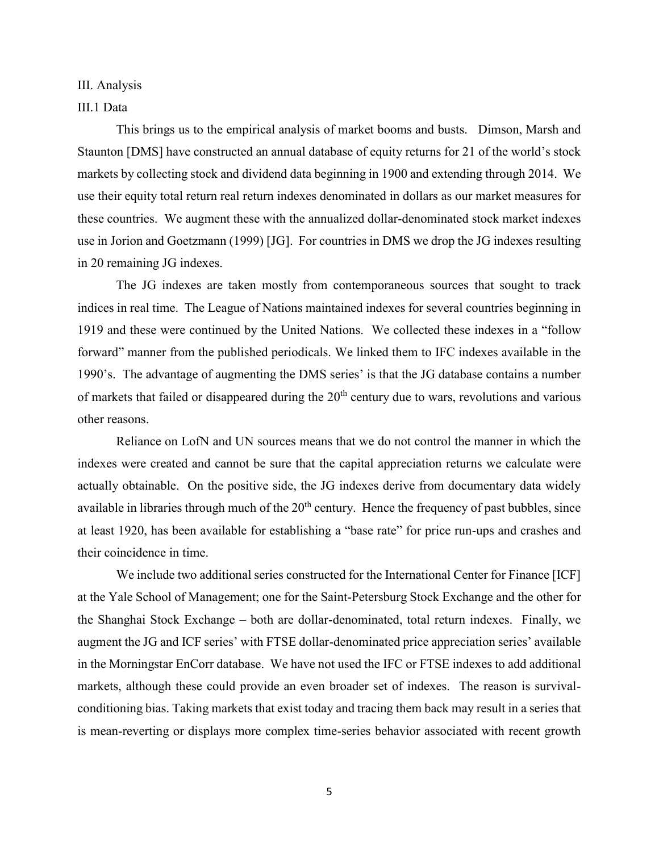III. Analysis

### III.1 Data

 This brings us to the empirical analysis of market booms and busts. Dimson, Marsh and Staunton [DMS] have constructed an annual database of equity returns for 21 of the world's stock markets by collecting stock and dividend data beginning in 1900 and extending through 2014. We use their equity total return real return indexes denominated in dollars as our market measures for these countries. We augment these with the annualized dollar-denominated stock market indexes use in Jorion and Goetzmann (1999) [JG]. For countries in DMS we drop the JG indexes resulting in 20 remaining JG indexes.

The JG indexes are taken mostly from contemporaneous sources that sought to track indices in real time. The League of Nations maintained indexes for several countries beginning in 1919 and these were continued by the United Nations. We collected these indexes in a "follow forward" manner from the published periodicals. We linked them to IFC indexes available in the 1990's. The advantage of augmenting the DMS series' is that the JG database contains a number of markets that failed or disappeared during the  $20<sup>th</sup>$  century due to wars, revolutions and various other reasons.

Reliance on LofN and UN sources means that we do not control the manner in which the indexes were created and cannot be sure that the capital appreciation returns we calculate were actually obtainable. On the positive side, the JG indexes derive from documentary data widely available in libraries through much of the  $20<sup>th</sup>$  century. Hence the frequency of past bubbles, since at least 1920, has been available for establishing a "base rate" for price run-ups and crashes and their coincidence in time.

We include two additional series constructed for the International Center for Finance [ICF] at the Yale School of Management; one for the Saint-Petersburg Stock Exchange and the other for the Shanghai Stock Exchange – both are dollar-denominated, total return indexes. Finally, we augment the JG and ICF series' with FTSE dollar-denominated price appreciation series' available in the Morningstar EnCorr database. We have not used the IFC or FTSE indexes to add additional markets, although these could provide an even broader set of indexes. The reason is survivalconditioning bias. Taking markets that exist today and tracing them back may result in a series that is mean-reverting or displays more complex time-series behavior associated with recent growth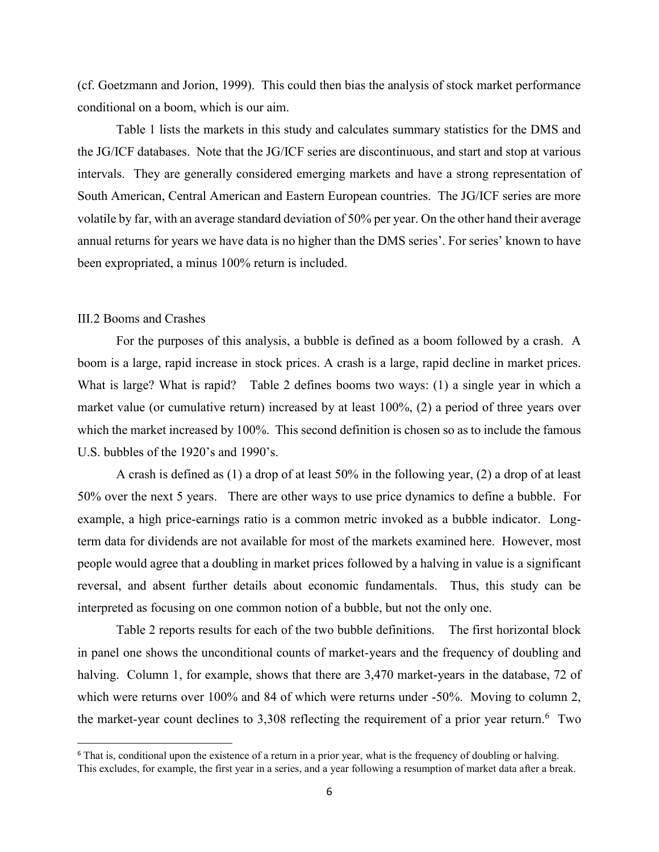(cf. Goetzmann and Jorion, 1999). This could then bias the analysis of stock market performance conditional on a boom, which is our aim.

Table 1 lists the markets in this study and calculates summary statistics for the DMS and the JG/ICF databases. Note that the JG/ICF series are discontinuous, and start and stop at various intervals. They are generally considered emerging markets and have a strong representation of South American, Central American and Eastern European countries. The JG/ICF series are more volatile by far, with an average standard deviation of 50% per year. On the other hand their average annual returns for years we have data is no higher than the DMS series'. For series' known to have been expropriated, a minus 100% return is included.

#### III.2 Booms and Crashes

l

 For the purposes of this analysis, a bubble is defined as a boom followed by a crash. A boom is a large, rapid increase in stock prices. A crash is a large, rapid decline in market prices. What is large? What is rapid? Table 2 defines booms two ways: (1) a single year in which a market value (or cumulative return) increased by at least 100%, (2) a period of three years over which the market increased by 100%. This second definition is chosen so as to include the famous U.S. bubbles of the 1920's and 1990's.

A crash is defined as (1) a drop of at least 50% in the following year, (2) a drop of at least 50% over the next 5 years. There are other ways to use price dynamics to define a bubble. For example, a high price-earnings ratio is a common metric invoked as a bubble indicator. Longterm data for dividends are not available for most of the markets examined here. However, most people would agree that a doubling in market prices followed by a halving in value is a significant reversal, and absent further details about economic fundamentals. Thus, this study can be interpreted as focusing on one common notion of a bubble, but not the only one.

Table 2 reports results for each of the two bubble definitions. The first horizontal block in panel one shows the unconditional counts of market-years and the frequency of doubling and halving. Column 1, for example, shows that there are 3,470 market-years in the database, 72 of which were returns over 100% and 84 of which were returns under -50%. Moving to column 2, the market-year count declines to 3,308 reflecting the requirement of a prior year return.  $6$  Two

 $6$  That is, conditional upon the existence of a return in a prior year, what is the frequency of doubling or halving. This excludes, for example, the first year in a series, and a year following a resumption of market data after a break.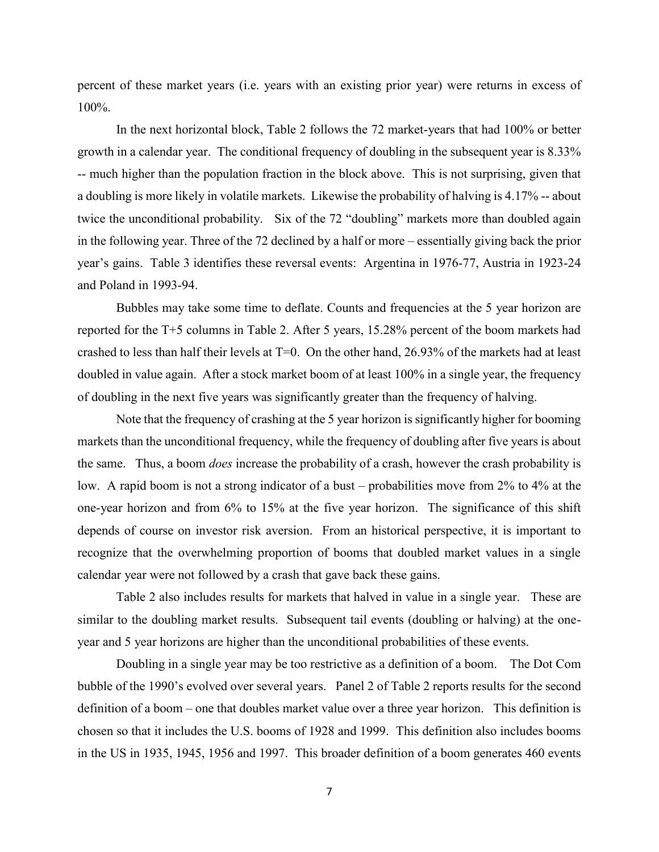percent of these market years (i.e. years with an existing prior year) were returns in excess of 100%.

In the next horizontal block, Table 2 follows the 72 market-years that had 100% or better growth in a calendar year. The conditional frequency of doubling in the subsequent year is 8.33% -- much higher than the population fraction in the block above. This is not surprising, given that a doubling is more likely in volatile markets. Likewise the probability of halving is 4.17% -- about twice the unconditional probability. Six of the 72 "doubling" markets more than doubled again in the following year. Three of the 72 declined by a half or more – essentially giving back the prior year's gains. Table 3 identifies these reversal events: Argentina in 1976-77, Austria in 1923-24 and Poland in 1993-94.

Bubbles may take some time to deflate. Counts and frequencies at the 5 year horizon are reported for the T+5 columns in Table 2. After 5 years, 15.28% percent of the boom markets had crashed to less than half their levels at T=0. On the other hand, 26.93% of the markets had at least doubled in value again. After a stock market boom of at least 100% in a single year, the frequency of doubling in the next five years was significantly greater than the frequency of halving.

Note that the frequency of crashing at the 5 year horizon is significantly higher for booming markets than the unconditional frequency, while the frequency of doubling after five years is about the same. Thus, a boom *does* increase the probability of a crash, however the crash probability is low. A rapid boom is not a strong indicator of a bust – probabilities move from 2% to 4% at the one-year horizon and from 6% to 15% at the five year horizon. The significance of this shift depends of course on investor risk aversion. From an historical perspective, it is important to recognize that the overwhelming proportion of booms that doubled market values in a single calendar year were not followed by a crash that gave back these gains.

Table 2 also includes results for markets that halved in value in a single year. These are similar to the doubling market results. Subsequent tail events (doubling or halving) at the oneyear and 5 year horizons are higher than the unconditional probabilities of these events.

Doubling in a single year may be too restrictive as a definition of a boom. The Dot Com bubble of the 1990's evolved over several years. Panel 2 of Table 2 reports results for the second definition of a boom – one that doubles market value over a three year horizon. This definition is chosen so that it includes the U.S. booms of 1928 and 1999. This definition also includes booms in the US in 1935, 1945, 1956 and 1997. This broader definition of a boom generates 460 events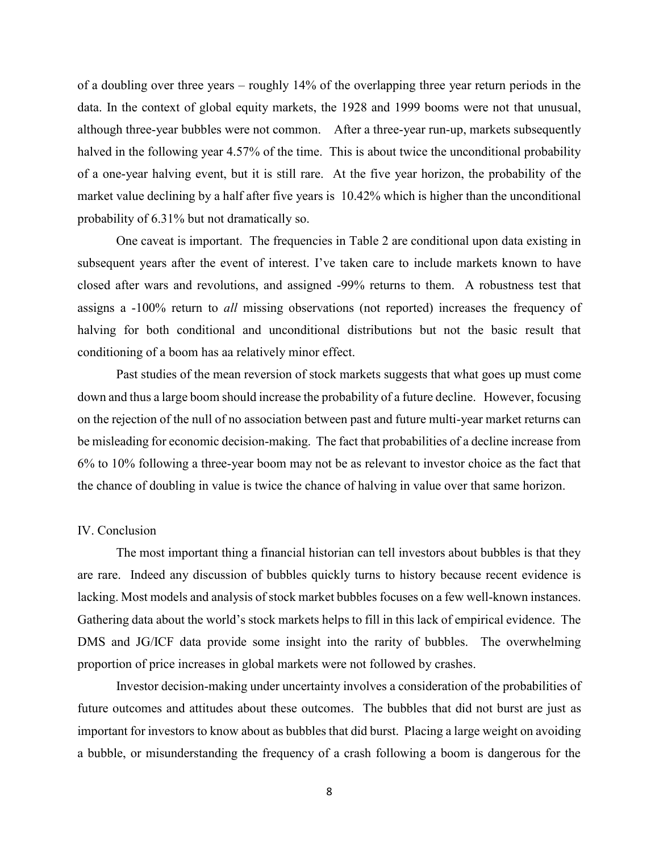of a doubling over three years – roughly 14% of the overlapping three year return periods in the data. In the context of global equity markets, the 1928 and 1999 booms were not that unusual, although three-year bubbles were not common. After a three-year run-up, markets subsequently halved in the following year 4.57% of the time. This is about twice the unconditional probability of a one-year halving event, but it is still rare. At the five year horizon, the probability of the market value declining by a half after five years is 10.42% which is higher than the unconditional probability of 6.31% but not dramatically so.

One caveat is important. The frequencies in Table 2 are conditional upon data existing in subsequent years after the event of interest. I've taken care to include markets known to have closed after wars and revolutions, and assigned -99% returns to them. A robustness test that assigns a -100% return to *all* missing observations (not reported) increases the frequency of halving for both conditional and unconditional distributions but not the basic result that conditioning of a boom has aa relatively minor effect.

Past studies of the mean reversion of stock markets suggests that what goes up must come down and thus a large boom should increase the probability of a future decline. However, focusing on the rejection of the null of no association between past and future multi-year market returns can be misleading for economic decision-making. The fact that probabilities of a decline increase from 6% to 10% following a three-year boom may not be as relevant to investor choice as the fact that the chance of doubling in value is twice the chance of halving in value over that same horizon.

#### IV. Conclusion

The most important thing a financial historian can tell investors about bubbles is that they are rare. Indeed any discussion of bubbles quickly turns to history because recent evidence is lacking. Most models and analysis of stock market bubbles focuses on a few well-known instances. Gathering data about the world's stock markets helps to fill in this lack of empirical evidence. The DMS and JG/ICF data provide some insight into the rarity of bubbles. The overwhelming proportion of price increases in global markets were not followed by crashes.

Investor decision-making under uncertainty involves a consideration of the probabilities of future outcomes and attitudes about these outcomes. The bubbles that did not burst are just as important for investors to know about as bubbles that did burst. Placing a large weight on avoiding a bubble, or misunderstanding the frequency of a crash following a boom is dangerous for the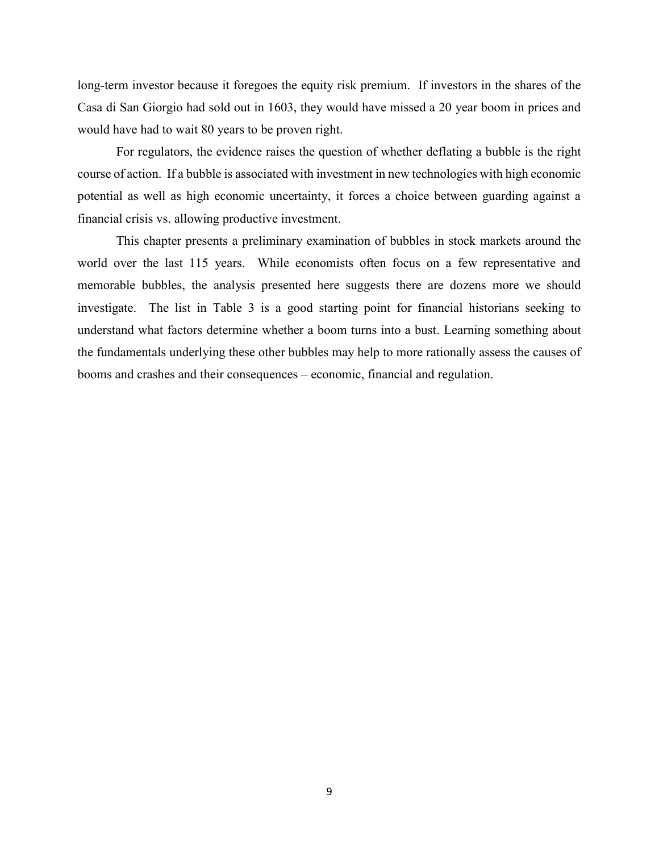long-term investor because it foregoes the equity risk premium. If investors in the shares of the Casa di San Giorgio had sold out in 1603, they would have missed a 20 year boom in prices and would have had to wait 80 years to be proven right.

 For regulators, the evidence raises the question of whether deflating a bubble is the right course of action. If a bubble is associated with investment in new technologies with high economic potential as well as high economic uncertainty, it forces a choice between guarding against a financial crisis vs. allowing productive investment.

 This chapter presents a preliminary examination of bubbles in stock markets around the world over the last 115 years. While economists often focus on a few representative and memorable bubbles, the analysis presented here suggests there are dozens more we should investigate. The list in Table 3 is a good starting point for financial historians seeking to understand what factors determine whether a boom turns into a bust. Learning something about the fundamentals underlying these other bubbles may help to more rationally assess the causes of booms and crashes and their consequences – economic, financial and regulation.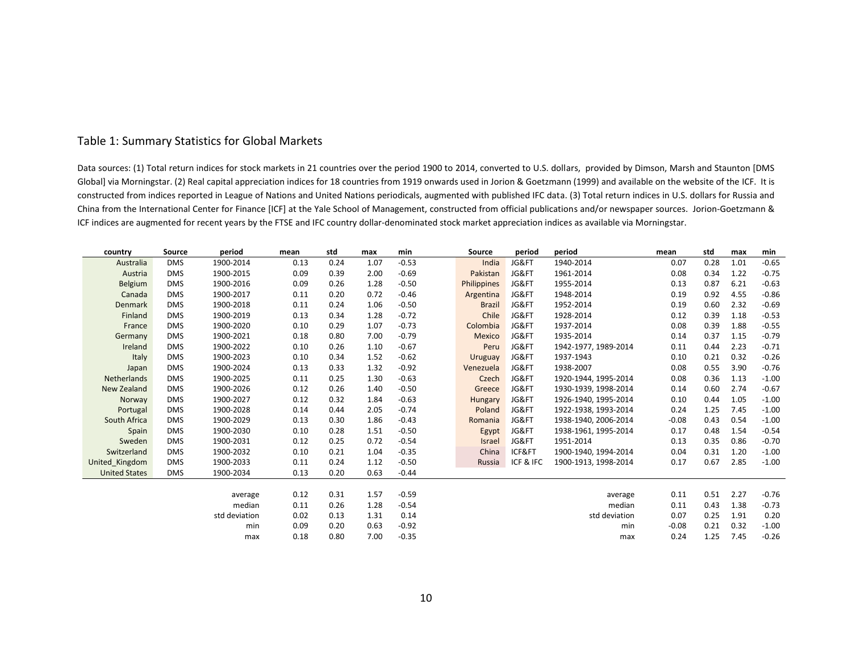## Table 1: Summary Statistics for Global Markets

Data sources: (1) Total return indices for stock markets in 21 countries over the period 1900 to 2014, converted to U.S. dollars, provided by Dimson, Marsh and Staunton [DMS Global] via Morningstar. (2) Real capital appreciation indices for 18 countries from 1919 onwards used in Jorion & Goetzmann (1999) and available on the website of the ICF. It is constructed from indices reported in League of Nations and United Nations periodicals, augmented with published IFC data. (3) Total return indices in U.S. dollars for Russia and China from the International Center for Finance [ICF] at the Yale School of Management, constructed from official publications and/or newspaper sources. Jorion-Goetzmann & ICF indices are augmented for recent years by the FTSE and IFC country dollar-denominated stock market appreciation indices as available via Morningstar.

| country              | Source     | period        | mean | std  | max  | min     | Source         | period    | period               | mean    | std  | max  | min     |
|----------------------|------------|---------------|------|------|------|---------|----------------|-----------|----------------------|---------|------|------|---------|
| Australia            | <b>DMS</b> | 1900-2014     | 0.13 | 0.24 | 1.07 | $-0.53$ | India          | JG&FT     | 1940-2014            | 0.07    | 0.28 | 1.01 | $-0.65$ |
| Austria              | <b>DMS</b> | 1900-2015     | 0.09 | 0.39 | 2.00 | $-0.69$ | Pakistan       | JG&FT     | 1961-2014            | 0.08    | 0.34 | 1.22 | $-0.75$ |
| Belgium              | <b>DMS</b> | 1900-2016     | 0.09 | 0.26 | 1.28 | $-0.50$ | Philippines    | JG&FT     | 1955-2014            | 0.13    | 0.87 | 6.21 | $-0.63$ |
| Canada               | <b>DMS</b> | 1900-2017     | 0.11 | 0.20 | 0.72 | $-0.46$ | Argentina      | JG&FT     | 1948-2014            | 0.19    | 0.92 | 4.55 | $-0.86$ |
| <b>Denmark</b>       | <b>DMS</b> | 1900-2018     | 0.11 | 0.24 | 1.06 | $-0.50$ | <b>Brazil</b>  | JG&FT     | 1952-2014            | 0.19    | 0.60 | 2.32 | $-0.69$ |
| Finland              | <b>DMS</b> | 1900-2019     | 0.13 | 0.34 | 1.28 | $-0.72$ | Chile          | JG&FT     | 1928-2014            | 0.12    | 0.39 | 1.18 | $-0.53$ |
| France               | <b>DMS</b> | 1900-2020     | 0.10 | 0.29 | 1.07 | $-0.73$ | Colombia       | JG&FT     | 1937-2014            | 0.08    | 0.39 | 1.88 | $-0.55$ |
| Germany              | <b>DMS</b> | 1900-2021     | 0.18 | 0.80 | 7.00 | $-0.79$ | Mexico         | JG&FT     | 1935-2014            | 0.14    | 0.37 | 1.15 | $-0.79$ |
| Ireland              | <b>DMS</b> | 1900-2022     | 0.10 | 0.26 | 1.10 | $-0.67$ | Peru           | JG&FT     | 1942-1977, 1989-2014 | 0.11    | 0.44 | 2.23 | $-0.71$ |
| Italy                | <b>DMS</b> | 1900-2023     | 0.10 | 0.34 | 1.52 | $-0.62$ | Uruguay        | JG&FT     | 1937-1943            | 0.10    | 0.21 | 0.32 | $-0.26$ |
| Japan                | <b>DMS</b> | 1900-2024     | 0.13 | 0.33 | 1.32 | $-0.92$ | Venezuela      | JG&FT     | 1938-2007            | 0.08    | 0.55 | 3.90 | $-0.76$ |
| Netherlands          | <b>DMS</b> | 1900-2025     | 0.11 | 0.25 | 1.30 | $-0.63$ | Czech          | JG&FT     | 1920-1944, 1995-2014 | 0.08    | 0.36 | 1.13 | $-1.00$ |
| New Zealand          | <b>DMS</b> | 1900-2026     | 0.12 | 0.26 | 1.40 | $-0.50$ | Greece         | JG&FT     | 1930-1939, 1998-2014 | 0.14    | 0.60 | 2.74 | $-0.67$ |
| Norway               | <b>DMS</b> | 1900-2027     | 0.12 | 0.32 | 1.84 | $-0.63$ | <b>Hungary</b> | JG&FT     | 1926-1940, 1995-2014 | 0.10    | 0.44 | 1.05 | $-1.00$ |
| Portugal             | <b>DMS</b> | 1900-2028     | 0.14 | 0.44 | 2.05 | $-0.74$ | Poland         | JG&FT     | 1922-1938, 1993-2014 | 0.24    | 1.25 | 7.45 | $-1.00$ |
| South Africa         | <b>DMS</b> | 1900-2029     | 0.13 | 0.30 | 1.86 | $-0.43$ | Romania        | JG&FT     | 1938-1940, 2006-2014 | $-0.08$ | 0.43 | 0.54 | $-1.00$ |
| Spain                | <b>DMS</b> | 1900-2030     | 0.10 | 0.28 | 1.51 | $-0.50$ | Egypt          | JG&FT     | 1938-1961, 1995-2014 | 0.17    | 0.48 | 1.54 | $-0.54$ |
| Sweden               | <b>DMS</b> | 1900-2031     | 0.12 | 0.25 | 0.72 | $-0.54$ | <b>Israel</b>  | JG&FT     | 1951-2014            | 0.13    | 0.35 | 0.86 | $-0.70$ |
| Switzerland          | <b>DMS</b> | 1900-2032     | 0.10 | 0.21 | 1.04 | $-0.35$ | China          | ICF&FT    | 1900-1940, 1994-2014 | 0.04    | 0.31 | 1.20 | $-1.00$ |
| United_Kingdom       | <b>DMS</b> | 1900-2033     | 0.11 | 0.24 | 1.12 | $-0.50$ | Russia         | ICF & IFC | 1900-1913, 1998-2014 | 0.17    | 0.67 | 2.85 | $-1.00$ |
| <b>United States</b> | <b>DMS</b> | 1900-2034     | 0.13 | 0.20 | 0.63 | $-0.44$ |                |           |                      |         |      |      |         |
|                      |            |               |      |      |      |         |                |           |                      |         |      |      |         |
|                      |            | average       | 0.12 | 0.31 | 1.57 | $-0.59$ |                |           | average              | 0.11    | 0.51 | 2.27 | $-0.76$ |
|                      |            | median        | 0.11 | 0.26 | 1.28 | $-0.54$ |                |           | median               | 0.11    | 0.43 | 1.38 | $-0.73$ |
|                      |            | std deviation | 0.02 | 0.13 | 1.31 | 0.14    |                |           | std deviation        | 0.07    | 0.25 | 1.91 | 0.20    |
|                      |            | min           | 0.09 | 0.20 | 0.63 | $-0.92$ |                |           | min                  | $-0.08$ | 0.21 | 0.32 | $-1.00$ |
|                      |            | max           | 0.18 | 0.80 | 7.00 | $-0.35$ |                |           | max                  | 0.24    | 1.25 | 7.45 | $-0.26$ |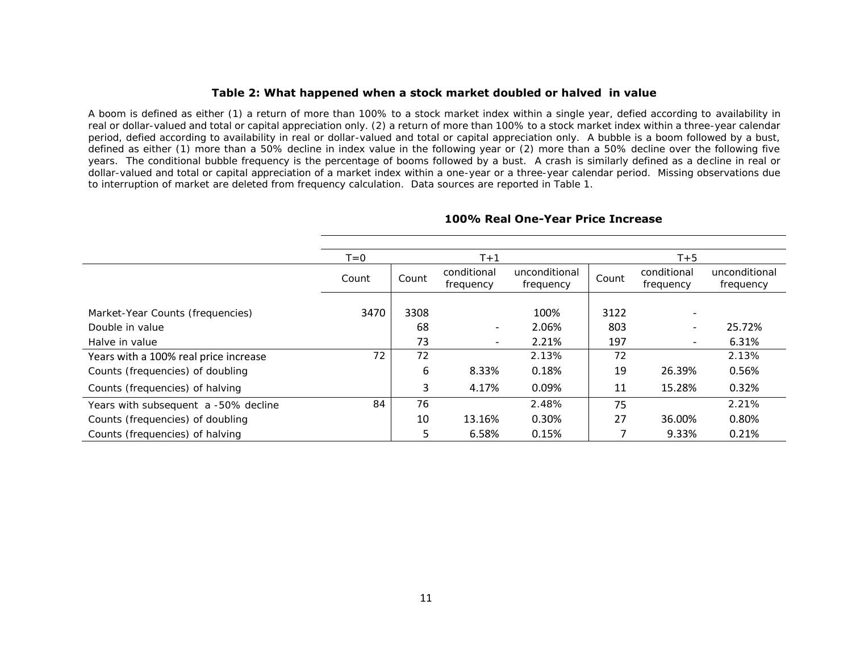#### **Table 2: What happened when a stock market doubled or halved in value**

A boom is defined as either (1) a return of more than 100% to a stock market index within a single year, defied according to availability in real or dollar-valued and total or capital appreciation only. (2) a return of more than 100% to a stock market index within a three-year calendar period, defied according to availability in real or dollar-valued and total or capital appreciation only. A bubble is a boom followed by a bust, defined as either (1) more than a 50% decline in index value in the following year or (2) more than a 50% decline over the following five years. The conditional bubble frequency is the percentage of booms followed by a bust. A crash is similarly defined as a decline in real or dollar-valued and total or capital appreciation of a market index within a one-year or a three-year calendar period. Missing observations due to interruption of market are deleted from frequency calculation. Data sources are reported in Table 1.

|                                       | $T = 0$ |       | $T+1$                    |                            | $T+5$ |                          |                            |  |  |  |
|---------------------------------------|---------|-------|--------------------------|----------------------------|-------|--------------------------|----------------------------|--|--|--|
|                                       | Count   | Count | conditional<br>frequency | unconditional<br>frequency | Count | conditional<br>frequency | unconditional<br>frequency |  |  |  |
| Market-Year Counts (frequencies)      | 3470    | 3308  |                          | 100%                       | 3122  |                          |                            |  |  |  |
| Double in value                       |         | 68    | $\overline{\phantom{0}}$ | 2.06%                      | 803   |                          | 25.72%                     |  |  |  |
| Halve in value                        |         | 73    |                          | 2.21%                      | 197   |                          | 6.31%                      |  |  |  |
| Years with a 100% real price increase | 72      | 72    |                          | 2.13%                      | 72    |                          | 2.13%                      |  |  |  |
| Counts (frequencies) of doubling      |         | 6     | 8.33%                    | 0.18%                      | 19    | 26.39%                   | 0.56%                      |  |  |  |
| Counts (frequencies) of halving       |         | 3     | 4.17%                    | 0.09%                      | 11    | 15.28%                   | 0.32%                      |  |  |  |
| Years with subsequent a -50% decline  | 84      | 76    |                          | 2.48%                      | 75    |                          | 2.21%                      |  |  |  |
| Counts (frequencies) of doubling      |         | 10    | 13.16%                   | 0.30%                      | 27    | 36.00%                   | 0.80%                      |  |  |  |
| Counts (frequencies) of halving       |         | 5     | 6.58%                    | 0.15%                      |       | 9.33%                    | 0.21%                      |  |  |  |

#### **100% Real One-Year Price Increase**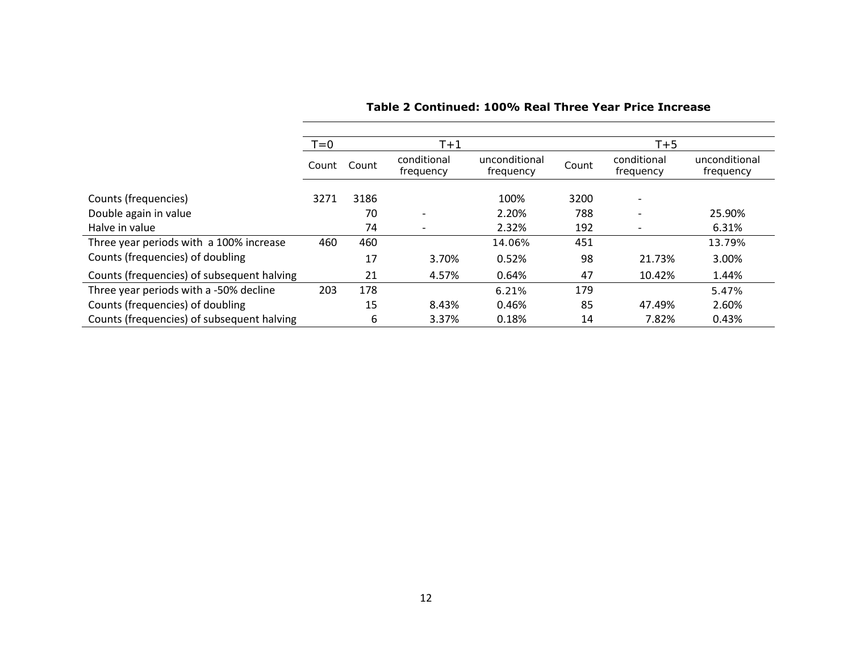|                                            | $T = 0$ |       | $T+1$                    |                            | $T+5$ |                          |                            |  |  |  |
|--------------------------------------------|---------|-------|--------------------------|----------------------------|-------|--------------------------|----------------------------|--|--|--|
|                                            | Count   | Count | conditional<br>frequency | unconditional<br>frequency | Count | conditional<br>frequency | unconditional<br>frequency |  |  |  |
| Counts (frequencies)                       | 3271    | 3186  |                          | 100%                       | 3200  | $\overline{\phantom{a}}$ |                            |  |  |  |
| Double again in value                      |         | 70    | $\overline{\phantom{a}}$ | 2.20%                      | 788   |                          | 25.90%                     |  |  |  |
| Halve in value                             |         | 74    | $\overline{\phantom{a}}$ | 2.32%                      | 192   |                          | 6.31%                      |  |  |  |
| Three year periods with a 100% increase    | 460     | 460   |                          | 14.06%                     | 451   |                          | 13.79%                     |  |  |  |
| Counts (frequencies) of doubling           |         | 17    | 3.70%                    | 0.52%                      | 98    | 21.73%                   | 3.00%                      |  |  |  |
| Counts (frequencies) of subsequent halving |         | 21    | 4.57%                    | 0.64%                      | 47    | 10.42%                   | 1.44%                      |  |  |  |
| Three year periods with a -50% decline     | 203     | 178   |                          | 6.21%                      | 179   |                          | 5.47%                      |  |  |  |
| Counts (frequencies) of doubling           |         | 15    | 8.43%                    | 0.46%                      | 85    | 47.49%                   | 2.60%                      |  |  |  |
| Counts (frequencies) of subsequent halving |         | 6     | 3.37%                    | 0.18%                      | 14    | 7.82%                    | 0.43%                      |  |  |  |

**Table 2 Continued: 100% Real Three Year Price Increase**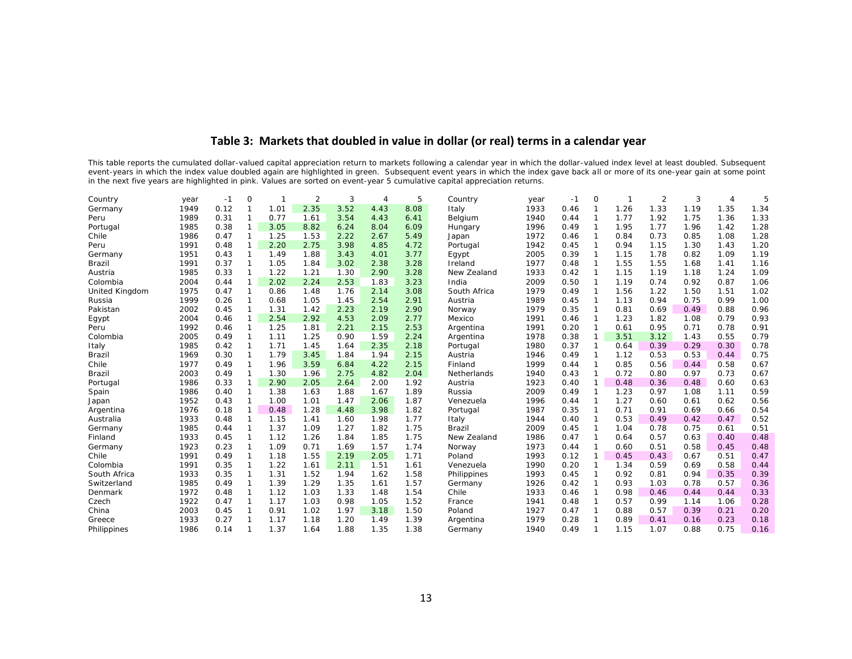## **Table 3: Markets that doubled in value in dollar (or real) terms in a calendar year**

This table reports the cumulated dollar-valued capital appreciation return to markets following a calendar year in which the dollar-valued index level at least doubled. Subsequent event-years in which the index value doubled again are highlighted in green. Subsequent event years in which the index gave back all or more of its one-year gain at some point in the next five years are highlighted in pink. Values are sorted on event-year 5 cumulative capital appreciation returns.

| Country        | year | $-1$ | $\Omega$       |      | 2    | 3    | $\Delta$ | 5    | Country      | year | $-1$ | $\bigcirc$     |      | 2    | 3    | 4    | 5    |
|----------------|------|------|----------------|------|------|------|----------|------|--------------|------|------|----------------|------|------|------|------|------|
| Germany        | 1949 | 0.12 | -1             | 1.01 | 2.35 | 3.52 | 4.43     | 8.08 | Italy        | 1933 | 0.46 |                | 1.26 | 1.33 | 1.19 | 1.35 | 1.34 |
| Peru           | 1989 | 0.31 | -1             | 0.77 | 1.61 | 3.54 | 4.43     | 6.41 | Belgium      | 1940 | 0.44 | $\mathbf{1}$   | 1.77 | 1.92 | 1.75 | 1.36 | 1.33 |
| Portugal       | 1985 | 0.38 | $\mathbf 1$    | 3.05 | 8.82 | 6.24 | 8.04     | 6.09 | Hungary      | 1996 | 0.49 | $\overline{1}$ | 1.95 | 1.77 | 1.96 | 1.42 | 1.28 |
| Chile          | 1986 | 0.47 | $\mathbf 1$    | 1.25 | 1.53 | 2.22 | 2.67     | 5.49 | Japan        | 1972 | 0.46 | 1              | 0.84 | 0.73 | 0.85 | 1.08 | 1.28 |
| Peru           | 1991 | 0.48 | $\overline{1}$ | 2.20 | 2.75 | 3.98 | 4.85     | 4.72 | Portugal     | 1942 | 0.45 | $\mathbf 1$    | 0.94 | 1.15 | 1.30 | 1.43 | 1.20 |
| Germany        | 1951 | 0.43 | $\overline{1}$ | 1.49 | 1.88 | 3.43 | 4.01     | 3.77 | Egypt        | 2005 | 0.39 | $\mathbf 1$    | 1.15 | 1.78 | 0.82 | 1.09 | 1.19 |
| Brazil         | 1991 | 0.37 | -1             | 1.05 | 1.84 | 3.02 | 2.38     | 3.28 | Ireland      | 1977 | 0.48 | $\mathbf{1}$   | 1.55 | 1.55 | 1.68 | 1.41 | 1.16 |
| Austria        | 1985 | 0.33 |                | 1.22 | 1.21 | 1.30 | 2.90     | 3.28 | New Zealand  | 1933 | 0.42 | $\mathbf{1}$   | 1.15 | 1.19 | 1.18 | 1.24 | 1.09 |
| Colombia       | 2004 | 0.44 |                | 2.02 | 2.24 | 2.53 | 1.83     | 3.23 | India        | 2009 | 0.50 | $\mathbf{1}$   | 1.19 | 0.74 | 0.92 | 0.87 | 1.06 |
| United Kingdom | 1975 | 0.47 |                | 0.86 | 1.48 | 1.76 | 2.14     | 3.08 | South Africa | 1979 | 0.49 |                | 1.56 | 1.22 | 1.50 | 1.51 | 1.02 |
| Russia         | 1999 | 0.26 |                | 0.68 | 1.05 | 1.45 | 2.54     | 2.91 | Austria      | 1989 | 0.45 |                | 1.13 | 0.94 | 0.75 | 0.99 | 1.00 |
| Pakistan       | 2002 | 0.45 |                | 1.31 | 1.42 | 2.23 | 2.19     | 2.90 | Norway       | 1979 | 0.35 |                | 0.81 | 0.69 | 0.49 | 0.88 | 0.96 |
| Egypt          | 2004 | 0.46 |                | 2.54 | 2.92 | 4.53 | 2.09     | 2.77 | Mexico       | 1991 | 0.46 |                | 1.23 | 1.82 | 1.08 | 0.79 | 0.93 |
| Peru           | 1992 | 0.46 |                | 1.25 | 1.81 | 2.21 | 2.15     | 2.53 | Argentina    | 1991 | 0.20 |                | 0.61 | 0.95 | 0.71 | 0.78 | 0.91 |
| Colombia       | 2005 | 0.49 |                | 1.11 | 1.25 | 0.90 | 1.59     | 2.24 | Argentina    | 1978 | 0.38 |                | 3.51 | 3.12 | 1.43 | 0.55 | 0.79 |
| Italy          | 1985 | 0.42 |                | 1.71 | 1.45 | 1.64 | 2.35     | 2.18 | Portugal     | 1980 | 0.37 |                | 0.64 | 0.39 | 0.29 | 0.30 | 0.78 |
| Brazil         | 1969 | 0.30 |                | 1.79 | 3.45 | 1.84 | 1.94     | 2.15 | Austria      | 1946 | 0.49 |                | 1.12 | 0.53 | 0.53 | 0.44 | 0.75 |
| Chile          | 1977 | 0.49 |                | 1.96 | 3.59 | 6.84 | 4.22     | 2.15 | Finland      | 1999 | 0.44 |                | 0.85 | 0.56 | 0.44 | 0.58 | 0.67 |
| <b>Brazil</b>  | 2003 | 0.49 |                | 1.30 | 1.96 | 2.75 | 4.82     | 2.04 | Netherlands  | 1940 | 0.43 |                | 0.72 | 0.80 | 0.97 | 0.73 | 0.67 |
| Portugal       | 1986 | 0.33 |                | 2.90 | 2.05 | 2.64 | 2.00     | 1.92 | Austria      | 1923 | 0.40 |                | 0.48 | 0.36 | 0.48 | 0.60 | 0.63 |
| Spain          | 1986 | 0.40 |                | 1.38 | 1.63 | 1.88 | 1.67     | 1.89 | Russia       | 2009 | 0.49 |                | 1.23 | 0.97 | 1.08 | 1.11 | 0.59 |
| Japan          | 1952 | 0.43 |                | 1.00 | 1.01 | 1.47 | 2.06     | 1.87 | Venezuela    | 1996 | 0.44 |                | 1.27 | 0.60 | 0.61 | 0.62 | 0.56 |
| Argentina      | 1976 | 0.18 |                | 0.48 | 1.28 | 4.48 | 3.98     | 1.82 | Portugal     | 1987 | 0.35 |                | 0.71 | 0.91 | 0.69 | 0.66 | 0.54 |
| Australia      | 1933 | 0.48 | -1             | 1.15 | 1.41 | 1.60 | 1.98     | 1.77 | Italy        | 1944 | 0.40 |                | 0.53 | 0.49 | 0.42 | 0.47 | 0.52 |
| Germany        | 1985 | 0.44 |                | 1.37 | 1.09 | 1.27 | 1.82     | 1.75 | Brazil       | 2009 | 0.45 |                | 1.04 | 0.78 | 0.75 | 0.61 | 0.51 |
| Finland        | 1933 | 0.45 |                | 1.12 | 1.26 | 1.84 | 1.85     | 1.75 | New Zealand  | 1986 | 0.47 | 1              | 0.64 | 0.57 | 0.63 | 0.40 | 0.48 |
| Germany        | 1923 | 0.23 | -1             | 1.09 | 0.71 | 1.69 | 1.57     | 1.74 | Norway       | 1973 | 0.44 | 1              | 0.60 | 0.51 | 0.58 | 0.45 | 0.48 |
| Chile          | 1991 | 0.49 | $\overline{1}$ | 1.18 | 1.55 | 2.19 | 2.05     | 1.71 | Poland       | 1993 | 0.12 | $\mathbf{1}$   | 0.45 | 0.43 | 0.67 | 0.51 | 0.47 |
| Colombia       | 1991 | 0.35 | $\overline{1}$ | 1.22 | 1.61 | 2.11 | 1.51     | 1.61 | Venezuela    | 1990 | 0.20 | $\mathbf{1}$   | 1.34 | 0.59 | 0.69 | 0.58 | 0.44 |
| South Africa   | 1933 | 0.35 | $\overline{1}$ | 1.31 | 1.52 | 1.94 | 1.62     | 1.58 | Philippines  | 1993 | 0.45 | $\mathbf 1$    | 0.92 | 0.81 | 0.94 | 0.35 | 0.39 |
| Switzerland    | 1985 | 0.49 | $\overline{1}$ | 1.39 | 1.29 | 1.35 | 1.61     | 1.57 | Germany      | 1926 | 0.42 | $\mathbf 1$    | 0.93 | 1.03 | 0.78 | 0.57 | 0.36 |
| Denmark        | 1972 | 0.48 | $\overline{1}$ | 1.12 | 1.03 | 1.33 | 1.48     | 1.54 | Chile        | 1933 | 0.46 | $\mathbf{1}$   | 0.98 | 0.46 | 0.44 | 0.44 | 0.33 |
| Czech          | 1922 | 0.47 | $\overline{1}$ | 1.17 | 1.03 | 0.98 | 1.05     | 1.52 | France       | 1941 | 0.48 | $\mathbf{1}$   | 0.57 | 0.99 | 1.14 | 1.06 | 0.28 |
| China          | 2003 | 0.45 | $\overline{1}$ | 0.91 | 1.02 | 1.97 | 3.18     | 1.50 | Poland       | 1927 | 0.47 |                | 0.88 | 0.57 | 0.39 | 0.21 | 0.20 |
| Greece         | 1933 | 0.27 |                | 1.17 | 1.18 | 1.20 | 1.49     | 1.39 | Argentina    | 1979 | 0.28 |                | 0.89 | 0.41 | 0.16 | 0.23 | 0.18 |
| Philippines    | 1986 | 0.14 |                | 1.37 | 1.64 | 1.88 | 1.35     | 1.38 | Germany      | 1940 | 0.49 |                | 1.15 | 1.07 | 0.88 | 0.75 | 0.16 |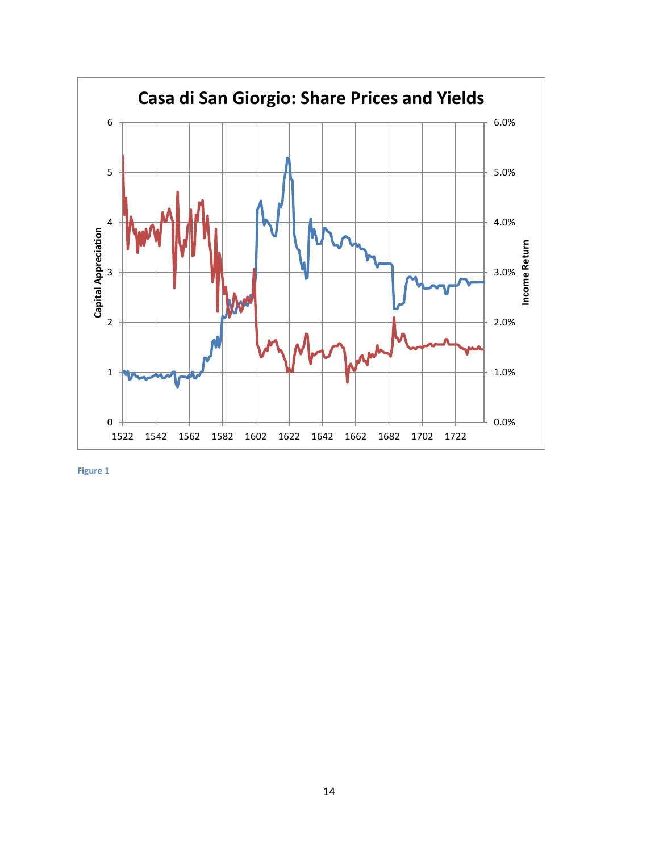

**Figure 1**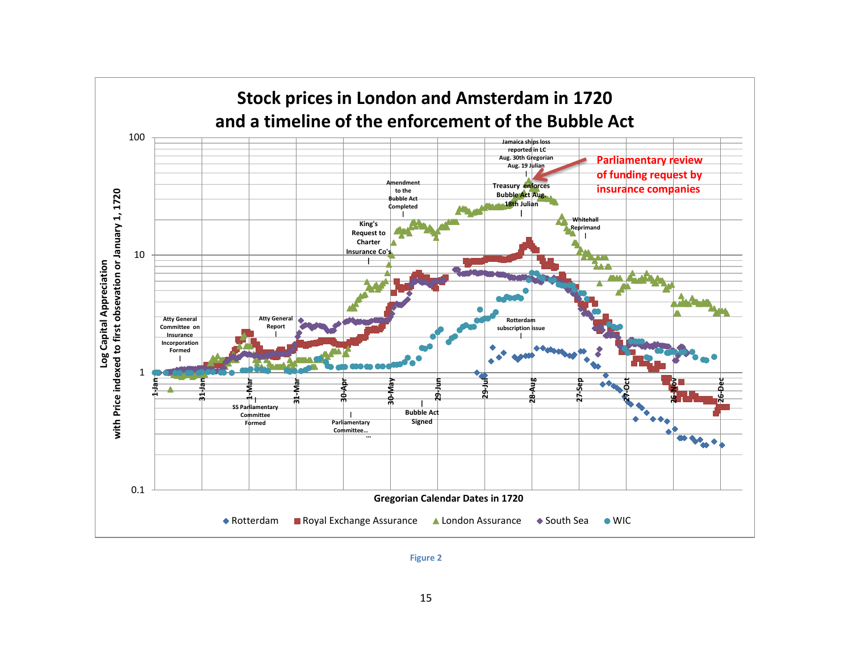

**Figure 2**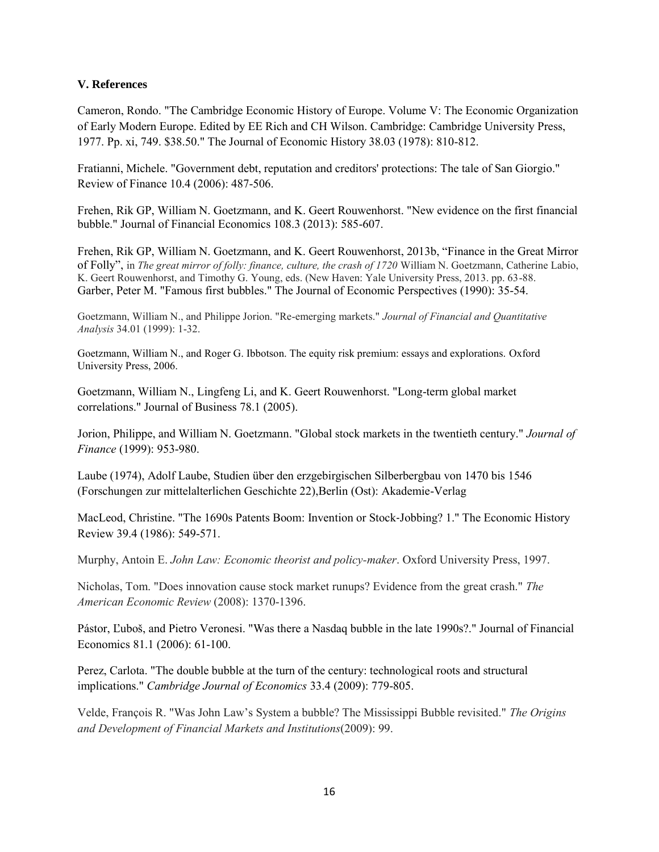### **V. References**

Cameron, Rondo. "The Cambridge Economic History of Europe. Volume V: The Economic Organization of Early Modern Europe. Edited by EE Rich and CH Wilson. Cambridge: Cambridge University Press, 1977. Pp. xi, 749. \$38.50." The Journal of Economic History 38.03 (1978): 810-812.

Fratianni, Michele. "Government debt, reputation and creditors' protections: The tale of San Giorgio." Review of Finance 10.4 (2006): 487-506.

Frehen, Rik GP, William N. Goetzmann, and K. Geert Rouwenhorst. "New evidence on the first financial bubble." Journal of Financial Economics 108.3 (2013): 585-607.

Frehen, Rik GP, William N. Goetzmann, and K. Geert Rouwenhorst, 2013b, "Finance in the Great Mirror of Folly", in *The great mirror of folly: finance, culture, the crash of 1720* William N. Goetzmann, Catherine Labio, K. Geert Rouwenhorst, and Timothy G. Young, eds. (New Haven: Yale University Press, 2013. pp. 63-88. Garber, Peter M. "Famous first bubbles." The Journal of Economic Perspectives (1990): 35-54.

Goetzmann, William N., and Philippe Jorion. "Re-emerging markets." *Journal of Financial and Quantitative Analysis* 34.01 (1999): 1-32.

Goetzmann, William N., and Roger G. Ibbotson. The equity risk premium: essays and explorations. Oxford University Press, 2006.

Goetzmann, William N., Lingfeng Li, and K. Geert Rouwenhorst. "Long-term global market correlations." Journal of Business 78.1 (2005).

Jorion, Philippe, and William N. Goetzmann. "Global stock markets in the twentieth century." *Journal of Finance* (1999): 953-980.

Laube (1974), Adolf Laube, Studien über den erzgebirgischen Silberbergbau von 1470 bis 1546 (Forschungen zur mittelalterlichen Geschichte 22),Berlin (Ost): Akademie-Verlag

MacLeod, Christine. "The 1690s Patents Boom: Invention or Stock‐Jobbing? 1." The Economic History Review 39.4 (1986): 549-571.

Murphy, Antoin E. *John Law: Economic theorist and policy-maker*. Oxford University Press, 1997.

Nicholas, Tom. "Does innovation cause stock market runups? Evidence from the great crash." *The American Economic Review* (2008): 1370-1396.

Pástor, Ľuboš, and Pietro Veronesi. "Was there a Nasdaq bubble in the late 1990s?." Journal of Financial Economics 81.1 (2006): 61-100.

Perez, Carlota. "The double bubble at the turn of the century: technological roots and structural implications." *Cambridge Journal of Economics* 33.4 (2009): 779-805.

Velde, François R. "Was John Law's System a bubble? The Mississippi Bubble revisited." *The Origins and Development of Financial Markets and Institutions*(2009): 99.